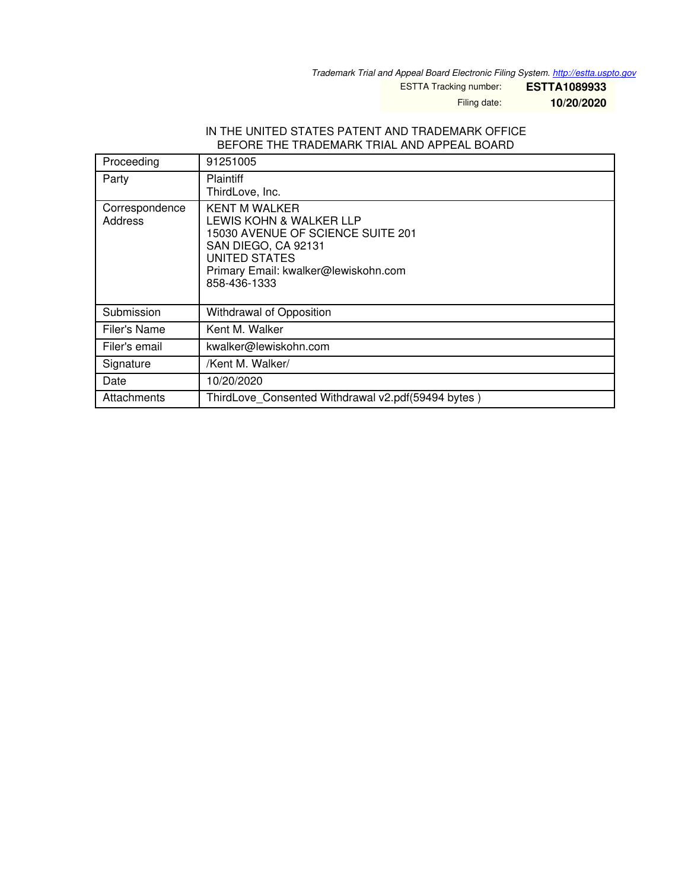*Trademark Trial and Appeal Board Electronic Filing System. <http://estta.uspto.gov>*

ESTTA Tracking number: **ESTTA1089933**

Filing date: **10/20/2020**

#### IN THE UNITED STATES PATENT AND TRADEMARK OFFICE BEFORE THE TRADEMARK TRIAL AND APPEAL BOARD

| Proceeding                | 91251005                                                                                                                                                                      |
|---------------------------|-------------------------------------------------------------------------------------------------------------------------------------------------------------------------------|
| Party                     | <b>Plaintiff</b><br>ThirdLove, Inc.                                                                                                                                           |
| Correspondence<br>Address | KENT M WALKER<br>LEWIS KOHN & WALKER LLP<br>15030 AVENUE OF SCIENCE SUITE 201<br>SAN DIEGO, CA 92131<br>UNITED STATES<br>Primary Email: kwalker@lewiskohn.com<br>858-436-1333 |
| Submission                | Withdrawal of Opposition                                                                                                                                                      |
| Filer's Name              | Kent M. Walker                                                                                                                                                                |
| Filer's email             | kwalker@lewiskohn.com                                                                                                                                                         |
| Signature                 | /Kent M. Walker/                                                                                                                                                              |
| Date                      | 10/20/2020                                                                                                                                                                    |
| Attachments               | ThirdLove Consented Withdrawal v2.pdf(59494 bytes)                                                                                                                            |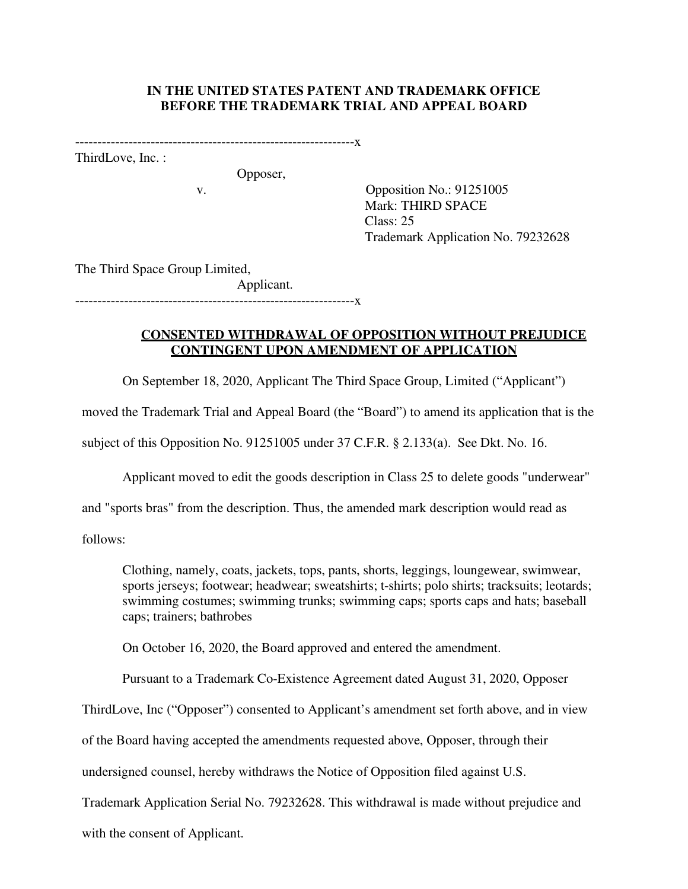# **IN THE UNITED STATES PATENT AND TRADEMARK OFFICE BEFORE THE TRADEMARK TRIAL AND APPEAL BOARD**

---------------------------------------------------------------x

ThirdLove, Inc. :

Opposer,

v. Opposition No.: 91251005 Mark: THIRD SPACE Class: 25 Trademark Application No. 79232628

The Third Space Group Limited,

Applicant. ---------------------------------------------------------------x

# **CONSENTED WITHDRAWAL OF OPPOSITION WITHOUT PREJUDICE CONTINGENT UPON AMENDMENT OF APPLICATION**

On September 18, 2020, Applicant The Third Space Group, Limited ("Applicant")

moved the Trademark Trial and Appeal Board (the "Board") to amend its application that is the

subject of this Opposition No. 91251005 under 37 C.F.R. § 2.133(a). See Dkt. No. 16.

Applicant moved to edit the goods description in Class 25 to delete goods "underwear"

and "sports bras" from the description. Thus, the amended mark description would read as

follows:

Clothing, namely, coats, jackets, tops, pants, shorts, leggings, loungewear, swimwear, sports jerseys; footwear; headwear; sweatshirts; t-shirts; polo shirts; tracksuits; leotards; swimming costumes; swimming trunks; swimming caps; sports caps and hats; baseball caps; trainers; bathrobes

On October 16, 2020, the Board approved and entered the amendment.

Pursuant to a Trademark Co-Existence Agreement dated August 31, 2020, Opposer

ThirdLove, Inc ("Opposer") consented to Applicant's amendment set forth above, and in view

of the Board having accepted the amendments requested above, Opposer, through their

undersigned counsel, hereby withdraws the Notice of Opposition filed against U.S.

Trademark Application Serial No. 79232628. This withdrawal is made without prejudice and

with the consent of Applicant.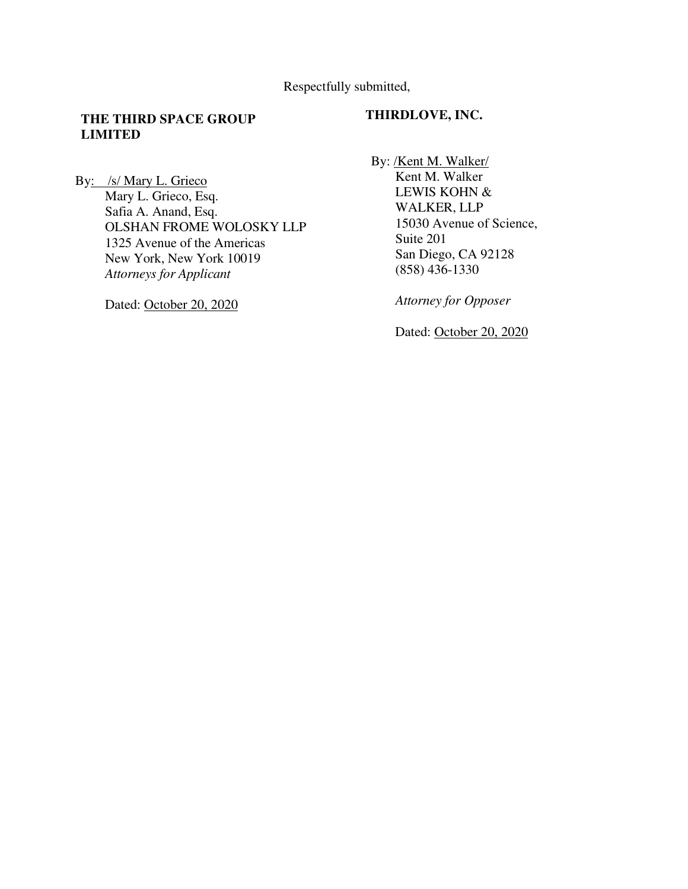Respectfully submitted,

# **THE THIRD SPACE GROUP LIMITED**

# **THIRDLOVE, INC.**

By: /s/ Mary L. Grieco Mary L. Grieco, Esq. Safia A. Anand, Esq. OLSHAN FROME WOLOSKY LLP 1325 Avenue of the Americas New York, New York 10019 *Attorneys for Applicant*

Dated: October 20, 2020

By: /**Kent M. Walker/** Kent M. Walker LEWIS KOHN & WALKER, LLP 15030 Avenue of Science, Suite 201 San Diego, CA 92128 (858) 436-1330

*Attorney for Opposer* 

Dated: October 20, 2020